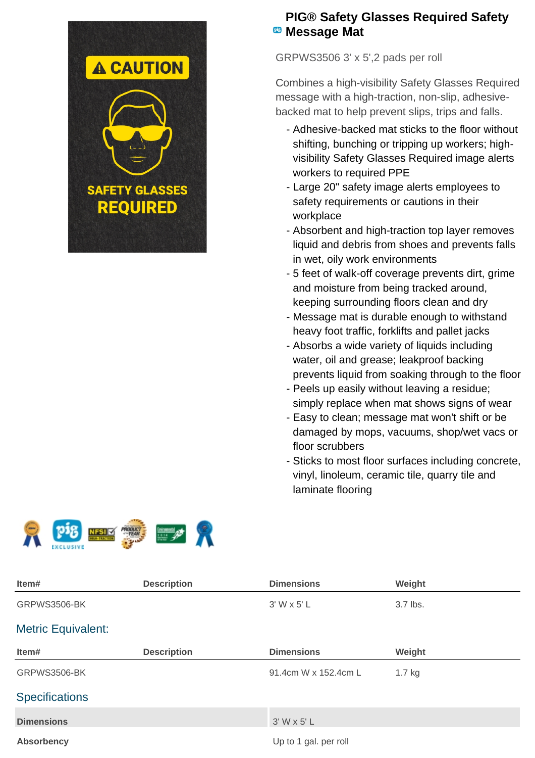

## **PIG® Safety Glasses Required Safety E** Message Mat

GRPWS3506 3' x 5',2 pads per roll

Combines a high-visibility Safety Glasses Required message with a high-traction, non-slip, adhesivebacked mat to help prevent slips, trips and falls.

- Adhesive-backed mat sticks to the floor without shifting, bunching or tripping up workers; highvisibility Safety Glasses Required image alerts workers to required PPE
- Large 20" safety image alerts employees to safety requirements or cautions in their workplace
- Absorbent and high-traction top layer removes liquid and debris from shoes and prevents falls in wet, oily work environments
- 5 feet of walk-off coverage prevents dirt, grime and moisture from being tracked around, keeping surrounding floors clean and dry
- Message mat is durable enough to withstand heavy foot traffic, forklifts and pallet jacks
- Absorbs a wide variety of liquids including water, oil and grease; leakproof backing prevents liquid from soaking through to the floor
- Peels up easily without leaving a residue; simply replace when mat shows signs of wear
- Easy to clean; message mat won't shift or be damaged by mops, vacuums, shop/wet vacs or floor scrubbers
- Sticks to most floor surfaces including concrete, vinyl, linoleum, ceramic tile, quarry tile and laminate flooring



| Item#                     | <b>Description</b> | <b>Dimensions</b>     | Weight   |  |
|---------------------------|--------------------|-----------------------|----------|--|
| GRPWS3506-BK              |                    | 3' W x 5' L           | 3.7 lbs. |  |
| <b>Metric Equivalent:</b> |                    |                       |          |  |
| Item#                     | <b>Description</b> | <b>Dimensions</b>     | Weight   |  |
| GRPWS3506-BK              |                    | 91.4cm W x 152.4cm L  | $1.7$ kg |  |
| <b>Specifications</b>     |                    |                       |          |  |
| <b>Dimensions</b>         |                    | $3'$ W x 5' L         |          |  |
| <b>Absorbency</b>         |                    | Up to 1 gal. per roll |          |  |